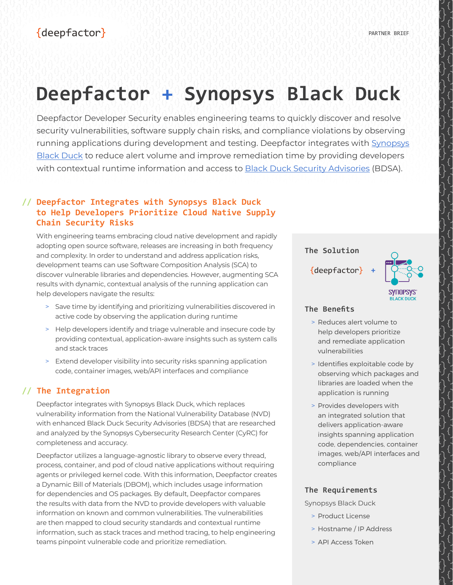# **Deepfactor + Synopsys Black Duck**

Deepfactor Developer Security enables engineering teams to quickly discover and resolve security vulnerabilities, software supply chain risks, and compliance violations by observing running applications during development and testing. Deepfactor integrates with [Synopsys](https://www.synopsys.com/software-integrity/security-testing/software-composition-analysis.html)  [Black Duck](https://www.synopsys.com/software-integrity/security-testing/software-composition-analysis.html) to reduce alert volume and improve remediation time by providing developers with contextual runtime information and access to [Black Duck Security Advisories](https://www.synopsys.com/software-integrity/security-testing/software-composition-analysis/vulnerability-reporting.html) (BDSA).

## **// Deepfactor Integrates with Synopsys Black Duck to Help Developers Prioritize Cloud Native Supply Chain Security Risks**

With engineering teams embracing cloud native development and rapidly adopting open source software, releases are increasing in both frequency and complexity. In order to understand and address application risks, development teams can use Software Composition Analysis (SCA) to discover vulnerable libraries and dependencies. However, augmenting SCA results with dynamic, contextual analysis of the running application can help developers navigate the results:

- > Save time by identifying and prioritizing vulnerabilities discovered in active code by observing the application during runtime
- > Help developers identify and triage vulnerable and insecure code by providing contextual, application-aware insights such as system calls and stack traces
- > Extend developer visibility into security risks spanning application code, container images, web/API interfaces and compliance

## **// The Integration**

Deepfactor integrates with Synopsys Black Duck, which replaces vulnerability information from the National Vulnerability Database (NVD) with enhanced Black Duck Security Advisories (BDSA) that are researched and analyzed by the Synopsys Cybersecurity Research Center (CyRC) for completeness and accuracy.

Deepfactor utilizes a language-agnostic library to observe every thread, process, container, and pod of cloud native applications without requiring agents or privileged kernel code. With this information, Deepfactor creates a Dynamic Bill of Materials (DBOM), which includes usage information for dependencies and OS packages. By default, Deepfactor compares the results with data from the NVD to provide developers with valuable information on known and common vulnerabilities. The vulnerabilities are then mapped to cloud security standards and contextual runtime information, such as stack traces and method tracing, to help engineering teams pinpoint vulnerable code and prioritize remediation.

#### **The Solution**

{deepfactor}



### **The Benefits**

> Reduces alert volume to help developers prioritize and remediate application vulnerabilities

**+**

- > Identifies exploitable code by observing which packages and libraries are loaded when the application is running
- > Provides developers with an integrated solution that delivers application-aware insights spanning application code, dependencies, container images, web/API interfaces and compliance

#### **The Requirements**

Synopsys Black Duck

- > Product License
- > Hostname / IP Address
- > API Access Token